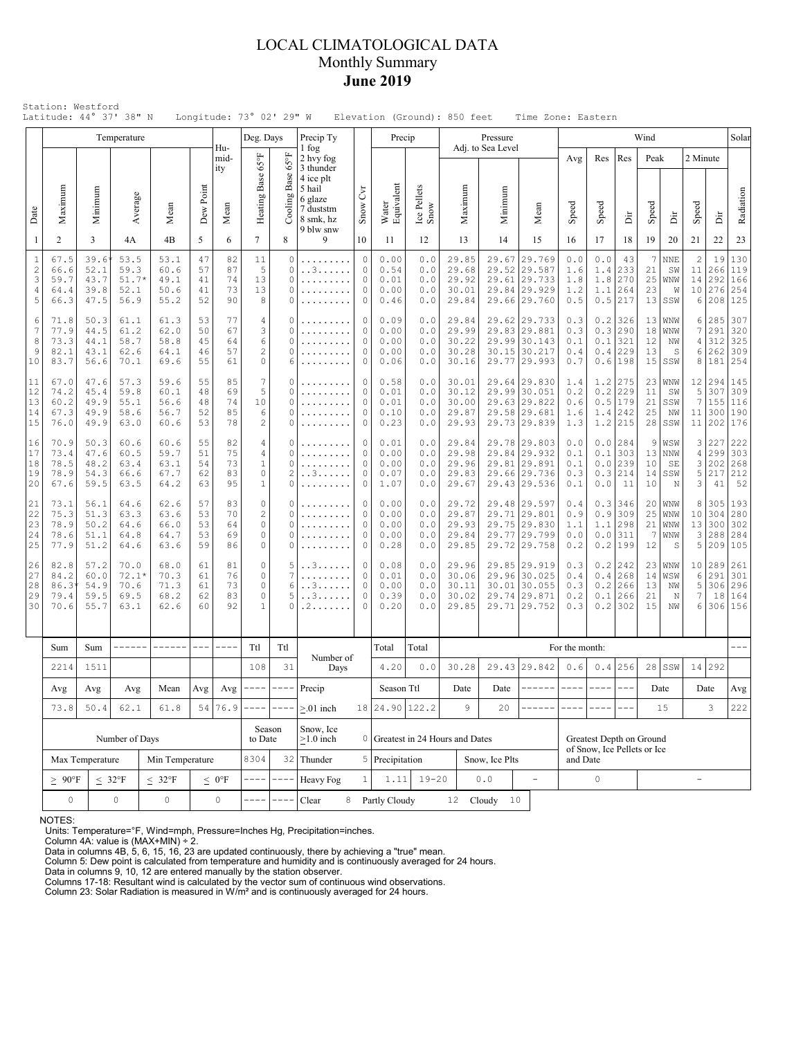### LOCAL CLIMATOLOGICAL DATA Monthly Summary **June 2019**

|                                               |                                                                    |                                      | Temperature                                                                     |                                      |                            |                            | Deg. Days                                         |                                                                                                                                                                                                                                                                                                                                                                                              | Precip Ty                                                                                                |                                               | Precip                               |                                   |                                           | Pressure                     |                                                                              |                                 |                                 |                                               | Wind                       |                                          |                                       |                                 | Solar                           |
|-----------------------------------------------|--------------------------------------------------------------------|--------------------------------------|---------------------------------------------------------------------------------|--------------------------------------|----------------------------|----------------------------|---------------------------------------------------|----------------------------------------------------------------------------------------------------------------------------------------------------------------------------------------------------------------------------------------------------------------------------------------------------------------------------------------------------------------------------------------------|----------------------------------------------------------------------------------------------------------|-----------------------------------------------|--------------------------------------|-----------------------------------|-------------------------------------------|------------------------------|------------------------------------------------------------------------------|---------------------------------|---------------------------------|-----------------------------------------------|----------------------------|------------------------------------------|---------------------------------------|---------------------------------|---------------------------------|
| Date                                          | Maximum                                                            | Minimum                              | Average                                                                         | Mean                                 | Dew Point                  | Hu-<br>mid-<br>ity<br>Mean | $65^{\circ}$ F<br>Heating Base                    | 4°50<br>Cooling Base                                                                                                                                                                                                                                                                                                                                                                         | 1 fog<br>2 hvy fog<br>3 thunder<br>4 ice plt<br>5 hail<br>6 glaze<br>7 duststm<br>8 smk, hz<br>9 blw snw | $\mathcal{C}$<br>Snow                         | Water<br>Equivalent                  | Ice Pellets<br>Snow               | Maximum                                   | Adj. to Sea Level<br>Minimum | Mean                                                                         | Avg<br>Speed                    | Res<br>Speed                    | Res<br>ă                                      | Peak<br>Speed              | ă                                        | 2 Minute<br>Speed                     | ä                               | Radiation                       |
| -1                                            | 2                                                                  | 3                                    | 4A                                                                              | 4B                                   | 5                          | 6                          | $\tau$                                            | 8                                                                                                                                                                                                                                                                                                                                                                                            | 9                                                                                                        | 10                                            | 11                                   | 12                                | 13                                        | 14                           | 15                                                                           | 16                              | 17                              | 18                                            | 19                         | 20                                       | 21                                    | 22                              | 23                              |
| $\mathbf{1}$<br>$\overline{c}$<br>3<br>4<br>5 | 67.5<br>66.6<br>59.7<br>64.4<br>66.3                               | 39.6<br>52.1<br>43.7<br>39.8<br>47.5 | 53.5<br>59.3<br>$51.7*$<br>52.1<br>56.9                                         | 53.1<br>60.6<br>49.1<br>50.6<br>55.2 | 47<br>57<br>41<br>41<br>52 | 82<br>87<br>74<br>73<br>90 | 11<br>5<br>13<br>13<br>8                          | $\circ$<br>$\circ$<br>$\circ$<br>0<br>0                                                                                                                                                                                                                                                                                                                                                      | .<br>. . 3                                                                                               | $\circ$<br>0<br>0<br>$\circ$<br>0             | 0.00<br>0.54<br>0.01<br>0.00<br>0.46 | 0.0<br>0.0<br>0.0<br>0.0<br>0.0   | 29.85<br>29.68<br>29.92<br>30.01<br>29.84 | 29.67                        | 29.769<br>29.52 29.587<br>29.61 29.733<br>29.84 29.929<br>29.66 29.760       | 0.0<br>1.6<br>1.8<br>1.2<br>0.5 | 0.0<br>1.4<br>1.8<br>1.1<br>0.5 | 43<br>233<br>270<br>264<br>217                | 7<br>21<br>25<br>23        | <b>NNE</b><br>SW<br>WNW<br>W<br>$13$ SSW | $\overline{c}$<br>11<br>14<br>10<br>6 | 19<br>266<br>292<br>276<br>208  | 130<br>119<br>166<br>254<br>125 |
| 6<br>7<br>8<br>$\overline{9}$<br>10           | 71.8<br>77.9<br>73.3<br>82.1<br>83.7                               | 50.3<br>44.5<br>44.1<br>43.1<br>56.6 | 61.1<br>61.2<br>58.7<br>62.6<br>70.1                                            | 61.3<br>62.0<br>58.8<br>64.1<br>69.6 | 53<br>50<br>45<br>46<br>55 | 77<br>67<br>64<br>57<br>61 | 4<br>3<br>6<br>$\mathbf{2}$<br>0                  | 0<br>0<br>0<br>0<br>6                                                                                                                                                                                                                                                                                                                                                                        | .                                                                                                        | 0<br>0<br>$\Omega$<br>$\circ$<br>$\circ$      | 0.09<br>0.00<br>0.00<br>0.00<br>0.06 | 0.0<br>0.0<br>0.0<br>0.0<br>0.0   | 29.84<br>29.99<br>30.22<br>30.28<br>30.16 |                              | 29.62 29.733<br>29.83 29.881<br>29.99 30.143<br>30.15 30.217<br>29.77 29.993 | 0.3<br>0.3<br>0.1<br>0.4<br>0.7 | 0.2<br>0.1<br>0.4               | 326<br>0.3 290<br>321<br>229<br>0.6 198       | 13<br>18<br>12<br>13<br>15 | WNW<br>WNW<br>NW<br>S<br> SSW            | 6<br>7<br>4<br>6<br>8                 | 285<br>291<br>312<br>262<br>181 | 307<br>320<br>325<br>309<br>254 |
| 11<br>12<br>13<br>14<br>15                    | 67.0<br>74.2<br>60.2<br>67.3<br>76.0                               | 47.6<br>45.4<br>49.9<br>49.9<br>49.9 | 57.3<br>59.8<br>55.1<br>58.6<br>63.0                                            | 59.6<br>60.1<br>56.6<br>56.7<br>60.6 | 55<br>48<br>48<br>52<br>53 | 85<br>69<br>74<br>85<br>78 | 7<br>5<br>10<br>6<br>$\mathbf{2}$                 | 0<br>0<br>0<br>0<br>0                                                                                                                                                                                                                                                                                                                                                                        | .<br>.                                                                                                   | 0<br>$\circ$<br>$\circ$<br>$\circ$<br>$\circ$ | 0.58<br>0.01<br>0.01<br>0.10<br>0.23 | 0.0<br>0.0<br>0.0<br>0.0<br>0.0   | 30.01<br>30.12<br>30.00<br>29.87<br>29.93 |                              | 29.64 29.830<br>29.99 30.051<br>29.63 29.822<br>29.58 29.681<br>29.73 29.839 | 1.4<br>0.2<br>0.6<br>1.6<br>1.3 | 1.2<br>0.2<br>0.5<br>1.4        | 275<br>229<br>179<br>242<br>$1.2$   215       | 11<br>21<br>25<br>28       | $23$ WNW<br>SW<br>SSW<br>ΝW<br> SSW      | 12<br>5<br>7<br>11<br>11              | 294<br>307<br>155<br>300<br>202 | 145<br>309<br>116<br>190<br>176 |
| 16<br>17<br>18<br>19<br>20                    | 70.9<br>73.4<br>78.5<br>78.9<br>67.6                               | 50.3<br>47.6<br>48.2<br>54.3<br>59.5 | 60.6<br>60.5<br>63.4<br>66.6<br>63.5                                            | 60.6<br>59.7<br>63.1<br>67.7<br>64.2 | 55<br>51<br>54<br>62<br>63 | 82<br>75<br>73<br>83<br>95 | 4<br>4<br>$\mathbf{1}$<br>$\circ$<br>$\mathbf{1}$ | 0<br>$\circ$<br>0<br>2<br>0                                                                                                                                                                                                                                                                                                                                                                  | . . 3                                                                                                    | 0<br>0<br>$\circ$<br>0<br>0                   | 0.01<br>0.00<br>0.00<br>0.07<br>1.07 | 0.0<br>0.0<br>0.0<br>0.0<br>$0.0$ | 29.84<br>29.98<br>29.96<br>29.83<br>29.67 |                              | 29.78 29.803<br>29.84 29.932<br>29.81 29.891<br>29.66 29.736<br>29.43 29.536 | 0.0<br>0.1<br>0.1<br>0.3<br>0.1 | 0.1<br>0.0<br>0.3<br>0.0        | $0.0$  284<br>303<br>239<br>214<br>11         | 9<br>10<br>10              | WSW<br>$13$ NNW<br>SE<br>$14$ SSW<br>N   | 3<br>4<br>3<br>5<br>3                 | 227<br>299<br>202<br>217<br>41  | 222<br>303<br>268<br>212<br>52  |
| 21<br>22<br>23<br>24<br>25                    | 73.1<br>75.3<br>78.9<br>78.6<br>77.9                               | 56.1<br>51.3<br>50.2<br>51.1<br>51.2 | 64.6<br>63.3<br>64.6<br>64.8<br>64.6                                            | 62.6<br>63.6<br>66.0<br>64.7<br>63.6 | 57<br>53<br>53<br>53<br>59 | 83<br>70<br>64<br>69<br>86 | $\circ$<br>$\mathbf{2}$<br>0<br>0<br>0            | 0<br>$\Omega$<br>0<br>0<br>0                                                                                                                                                                                                                                                                                                                                                                 | .                                                                                                        | 0<br>0<br>$\circ$<br>0<br>0                   | 0.00<br>0.00<br>0.00<br>0.00<br>0.28 | 0.0<br>0.0<br>0.0<br>0.0<br>0.0   | 29.72<br>29.87<br>29.93<br>29.84<br>29.85 | 29.77                        | 29.48 29.597<br>29.71 29.801<br>29.75 29.830<br> 29.799<br>29.72 29.758      | 0.4<br>0.9<br>1.1<br>0.0<br>0.2 | 0.3<br>0.9<br>1.1               | 346<br>309<br>298<br>$0.0$  311<br>$0.2$  199 | 25<br>21<br>-7<br>12       | $20$ WNW<br>WNW<br>WNW<br>WNW<br>S       | 8<br>10<br>13<br>3<br>5               | 305<br>304<br>300<br>288<br>209 | 193<br>280<br>302<br>284<br>105 |
| 26<br>27<br>28<br>29<br>30                    | 82.8<br>84.2<br>86.3<br>79.4<br>70.6                               | 57.2<br>60.0<br>54.9<br>59.5<br>55.7 | 70.0<br>68.0<br>$72.1*$<br>70.3<br>71.3<br>70.6<br>69.5<br>68.2<br>63.1<br>62.6 |                                      | 61<br>61<br>61<br>62<br>60 | 81<br>76<br>73<br>83<br>92 | $\circ$<br>0<br>$\circ$<br>0<br>$\mathbf{1}$      | 5<br>7<br>6<br>5<br>0                                                                                                                                                                                                                                                                                                                                                                        | . . 3.<br>. . 3<br>. 2                                                                                   | 0<br>0<br>0<br>$\circ$<br>0                   | 0.08<br>0.01<br>0.00<br>0.39<br>0.20 | 0.0<br>0.0<br>0.0<br>0.0<br>0.0   | 29.96<br>30.06<br>30.11<br>30.02<br>29.85 |                              | 29.85 29.919<br>29.96 30.025<br>30.01 30.055<br>29.74 29.871<br>29.71 29.752 | 0.3<br>0.4<br>0.3<br>0.2<br>0.3 | 0.2<br>0.4<br>0.2<br>0.1<br>0.2 | 242<br>268<br>266<br>266<br>302               | 14<br>13<br>21<br>15       | $23$ WNW<br>WSW<br>NW<br>N<br>NW         | 10<br>6<br>5<br>7<br>6                | 289<br>291<br>306<br>18<br>306  | 261<br>301<br>296<br>164<br>156 |
|                                               | Sum                                                                | Sum                                  |                                                                                 |                                      |                            |                            | Ttl                                               | Ttl                                                                                                                                                                                                                                                                                                                                                                                          |                                                                                                          |                                               | Total                                | Total                             |                                           |                              |                                                                              | For the month:                  |                                 |                                               |                            |                                          |                                       |                                 |                                 |
|                                               | 2214                                                               | 1511                                 |                                                                                 |                                      |                            |                            | 108                                               | 31                                                                                                                                                                                                                                                                                                                                                                                           | Number of<br>Days                                                                                        |                                               | 4.20                                 | 0.0                               | 30.28                                     |                              | 29.43 29.842                                                                 | 0.6                             | 0.4                             | 256                                           |                            | $28$ SSW                                 |                                       | 14 292                          |                                 |
|                                               | Avg                                                                | Avg<br>Avg                           |                                                                                 | Mean                                 | Avg                        | Avg                        | $\qquad \qquad - - - -$                           | $\frac{1}{2} \frac{1}{2} \frac{1}{2} \frac{1}{2} \frac{1}{2} \frac{1}{2} \frac{1}{2} \frac{1}{2} \frac{1}{2} \frac{1}{2} \frac{1}{2} \frac{1}{2} \frac{1}{2} \frac{1}{2} \frac{1}{2} \frac{1}{2} \frac{1}{2} \frac{1}{2} \frac{1}{2} \frac{1}{2} \frac{1}{2} \frac{1}{2} \frac{1}{2} \frac{1}{2} \frac{1}{2} \frac{1}{2} \frac{1}{2} \frac{1}{2} \frac{1}{2} \frac{1}{2} \frac{1}{2} \frac{$ | Precip                                                                                                   |                                               | Season Ttl                           |                                   | Date                                      | Date                         | ------                                                                       | $\frac{1}{2}$                   | ----                            | $---$                                         |                            | Date                                     |                                       | Date                            | Avg                             |
|                                               | 73.8                                                               | 50.4                                 | 62.1                                                                            | 61.8                                 | 54                         | 76.9                       |                                                   |                                                                                                                                                                                                                                                                                                                                                                                              | $> 01$ inch                                                                                              |                                               | 18 24.90 122.2                       |                                   | 9                                         | 20                           |                                                                              |                                 |                                 |                                               |                            | 15                                       |                                       | 3                               | 222                             |
|                                               |                                                                    |                                      | Number of Days                                                                  |                                      |                            |                            | Season<br>to Date                                 |                                                                                                                                                                                                                                                                                                                                                                                              | Snow, Ice<br>$\geq$ 1.0 inch                                                                             |                                               |                                      |                                   | 0 Greatest in 24 Hours and Dates          |                              | Greatest Depth on Ground                                                     |                                 |                                 |                                               |                            |                                          |                                       |                                 |                                 |
|                                               |                                                                    | Max Temperature                      |                                                                                 | Min Temperature                      |                            | 8304                       |                                                   | 32 Thunder                                                                                                                                                                                                                                                                                                                                                                                   |                                                                                                          | 5 Precipitation                               |                                      | Snow, Ice Plts                    |                                           |                              | of Snow, Ice Pellets or Ice<br>and Date                                      |                                 |                                 |                                               |                            |                                          |                                       |                                 |                                 |
|                                               | $\geq 90^{\circ}$ F                                                | $< 32^{\circ}F$                      |                                                                                 | $\leq~0^\circ F$                     |                            | $- -$                      | Heavy Fog                                         | $\mathbf{1}$                                                                                                                                                                                                                                                                                                                                                                                 | 1.11                                                                                                     | $19 - 20$                                     |                                      | ${\bf 0}$ . ${\bf 0}$             | $\equiv$                                  |                              | 0                                                                            |                                 |                                 |                                               | $\overline{a}$             |                                          |                                       |                                 |                                 |
|                                               | $\leq~32^{\circ}\mathrm{F}$<br>0<br>$\mathsf{O}\xspace$<br>$\circ$ |                                      |                                                                                 |                                      |                            | $\mathbb O$                |                                                   |                                                                                                                                                                                                                                                                                                                                                                                              | Clear<br>8                                                                                               |                                               | Partly Cloudy                        |                                   | 12 <sup>7</sup>                           | 10<br>Cloudy                 |                                                                              |                                 |                                 |                                               |                            |                                          |                                       |                                 |                                 |

NOTES:

Units: Temperature=°F, Wind=mph, Pressure=Inches Hg, Precipitation=inches. Column 4A: value is (MAX+MIN) ÷ 2. Data in columns 4B, 5, 6, 15, 16, 23 are updated continuously, there by achieving a "true" mean.

Column 5: Dew point is calculated from temperature and humidity and is continuously averaged for 24 hours. Data in columns 9, 10, 12 are entered manually by the station observer.

Columns 17-18: Resultant wind is calculated by the vector sum of continuous wind observations. Column 23: Solar Radiation is measured in W/m² and is continuously averaged for 24 hours.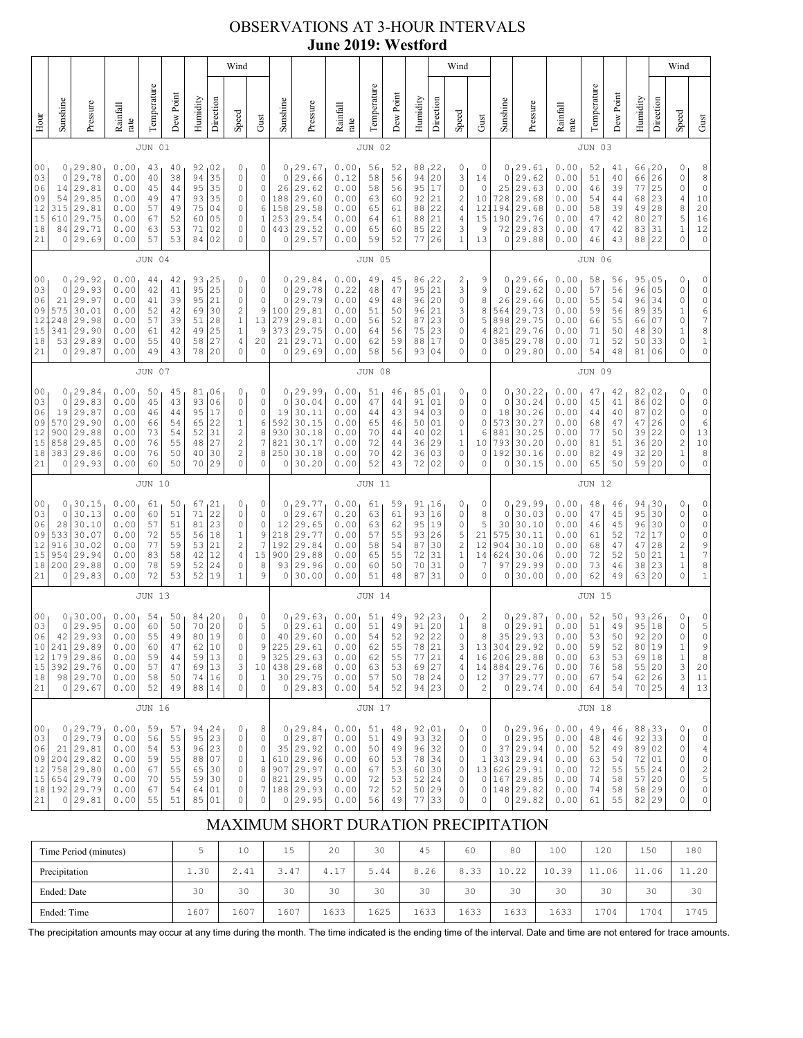# OBSERVATIONS AT 3-HOUR INTERVALS **June 2019: Westford**

|                                                                                                                                                                                                                                                                                                                                                                                                                                                                                                                                          |                                                                                                                                                                                                                                                                                                                                                                                                                                                                             |                                                                                         |                                                              |                                              |                                              |                                              |                                                                                              | Wind                                                                                                    |                                                                                                   |                                                                      |                                                                                 |                                                              |                                              |                                              |                                                  |                                                                                    | Wind                                                          |                                                                      |                                                                      |                                                                                   |                                                              |                                              |                                                  |                                                 |                                                                | Wind                                                                                      |                                                                                                      |
|------------------------------------------------------------------------------------------------------------------------------------------------------------------------------------------------------------------------------------------------------------------------------------------------------------------------------------------------------------------------------------------------------------------------------------------------------------------------------------------------------------------------------------------|-----------------------------------------------------------------------------------------------------------------------------------------------------------------------------------------------------------------------------------------------------------------------------------------------------------------------------------------------------------------------------------------------------------------------------------------------------------------------------|-----------------------------------------------------------------------------------------|--------------------------------------------------------------|----------------------------------------------|----------------------------------------------|----------------------------------------------|----------------------------------------------------------------------------------------------|---------------------------------------------------------------------------------------------------------|---------------------------------------------------------------------------------------------------|----------------------------------------------------------------------|---------------------------------------------------------------------------------|--------------------------------------------------------------|----------------------------------------------|----------------------------------------------|--------------------------------------------------|------------------------------------------------------------------------------------|---------------------------------------------------------------|----------------------------------------------------------------------|----------------------------------------------------------------------|-----------------------------------------------------------------------------------|--------------------------------------------------------------|----------------------------------------------|--------------------------------------------------|-------------------------------------------------|----------------------------------------------------------------|-------------------------------------------------------------------------------------------|------------------------------------------------------------------------------------------------------|
| Hour                                                                                                                                                                                                                                                                                                                                                                                                                                                                                                                                     | Sunshine                                                                                                                                                                                                                                                                                                                                                                                                                                                                    | Pressure                                                                                | Rainfall<br>rate                                             | Temperature                                  | Dew Point                                    | Humidity                                     | Direction                                                                                    | Speed                                                                                                   | Gust                                                                                              | Sunshine                                                             | Pressure                                                                        | Rainfall<br>rate                                             | Temperature                                  | Dew Point                                    | Humidity                                         | Direction                                                                          | Speed                                                         | Gust                                                                 | Sunshine                                                             | Pressure                                                                          | Rainfall<br>rate                                             | Temperature                                  | Dew Point                                        | Humidity                                        | Direction                                                      | Speed                                                                                     | Gust                                                                                                 |
|                                                                                                                                                                                                                                                                                                                                                                                                                                                                                                                                          |                                                                                                                                                                                                                                                                                                                                                                                                                                                                             |                                                                                         |                                                              | <b>JUN 01</b>                                |                                              |                                              |                                                                                              |                                                                                                         |                                                                                                   |                                                                      |                                                                                 |                                                              | <b>JUN 02</b>                                |                                              |                                                  |                                                                                    |                                                               |                                                                      |                                                                      |                                                                                   |                                                              | JUN 03                                       |                                                  |                                                 |                                                                |                                                                                           |                                                                                                      |
| 0 <sub>0</sub><br>21                                                                                                                                                                                                                                                                                                                                                                                                                                                                                                                     | 0<br>29.80<br>0.00<br>92<br>02<br>0<br>43<br>40<br>29.78<br>94<br>35<br>03<br>0<br>0.00<br>40<br>38<br>0<br>29.81<br>95<br>35<br>$\circ$<br>06<br>14<br>0.00<br>45<br>44<br>29.85<br>35<br>09<br>54<br>0.00<br>49<br>93<br>0<br>47<br>12<br>29.81<br>315<br>0.00<br>57<br>75<br>04<br>0<br>49<br>29.75<br>05<br>15<br>610<br>0.00<br>52<br>0<br>67<br>60<br>29.71<br>18<br>84<br>0.00<br>63<br>53<br>02<br>0<br>71<br>29.69<br>57<br>53<br>02<br>$\circ$<br>0<br>0.00<br>84 |                                                                                         |                                                              |                                              |                                              |                                              |                                                                                              | 0<br>0<br>$\circ$<br>$\mathbb O$<br>6<br>1<br>0<br>$\circ$                                              | 0<br>0<br>26<br>188<br>158<br>253<br>443<br>0                                                     | 29.67<br>29.66<br>29.62<br>29.60<br>29.58<br>29.54<br>29.52<br>29.57 | 0.00<br>0.12<br>0.00<br>0.00<br>0.00<br>0.00<br>0.00<br>0.00                    | 56<br>58<br>58<br>63<br>65<br>64<br>65<br>59                 | 52<br>56<br>56<br>60<br>61<br>61<br>60<br>52 | 88<br>94<br>95<br>92<br>88<br>88<br>85<br>77 | 22<br>20<br>17<br>21<br>22<br>21<br>22<br>26     | 0<br>3<br>0<br>2<br>4<br>4<br>3<br>$\mathbf 1$                                     | 0<br>14<br>$\circ$<br>10<br>121<br>15<br>9<br>13              | 0<br>0<br>25<br>728<br>194<br>190<br>72<br>0                         | 29.61<br>29.62<br>29.63<br>29.68<br>29.68<br>29.76<br>29.83<br>29.88 | 0.00<br>0.00<br>0.00<br>0.00<br>0.00<br>0.00<br>0.00<br>0.00                      | 52<br>51<br>46<br>54<br>58<br>47<br>47<br>46                 | 41<br>40<br>39<br>44<br>39<br>42<br>42<br>43 | 66, 20<br>66<br>77<br>68<br>49<br>80<br>83<br>88 | 26<br>25<br>23<br>28<br>27<br>31<br>22          | 0<br>0<br>0<br>4<br>8<br>5<br>$\mathbf 1$<br>0                 | 8<br>8<br>$\mathbb O$<br>$10$<br>$\begin{array}{c} 20 \\ 16 \end{array}$<br>12<br>$\circ$ |                                                                                                      |
|                                                                                                                                                                                                                                                                                                                                                                                                                                                                                                                                          |                                                                                                                                                                                                                                                                                                                                                                                                                                                                             |                                                                                         |                                                              | <b>JUN 04</b>                                |                                              |                                              |                                                                                              |                                                                                                         |                                                                                                   |                                                                      |                                                                                 |                                                              | <b>JUN 05</b>                                |                                              |                                                  |                                                                                    |                                                               |                                                                      |                                                                      |                                                                                   |                                                              | <b>JUN 06</b>                                |                                                  |                                                 |                                                                |                                                                                           |                                                                                                      |
| 29.92<br>0.00<br>93<br>25<br>00<br>0<br>44<br>42<br>0<br>25<br>$\mathbf 0$<br>29.93<br>0.00<br>95<br>$\circ$<br>03<br>42<br>41<br>29.97<br>95<br>21<br>$\circ$<br>06<br>0.00<br>41<br>39<br>21<br>30.01<br>30<br>$\sqrt{2}$<br>09<br>575<br>0.00<br>52<br>42<br>69<br>12<br>29.98<br>28<br>$1\,$<br>248<br>0.00<br>57<br>39<br>51<br>15<br>29.90<br>25<br>$\mathbf 1$<br>341<br>0.00<br>42<br>49<br>61<br>29.89<br>$\sqrt{4}$<br>18<br>53<br>0.00<br>55<br>58<br>27<br>40<br>21<br>29.87<br>49<br>43<br>20<br>$\circ$<br>0<br>0.00<br>78 |                                                                                                                                                                                                                                                                                                                                                                                                                                                                             |                                                                                         |                                                              |                                              |                                              |                                              | 0<br>$\mathbb O$<br>$\mathbb O$<br>9<br>13<br>9<br>20<br>$\circ$                             | 0<br>$\circ$<br>$\circ$<br>100<br>279<br>373<br>21<br>0                                                 | 129.84<br>29.78<br>29.79<br>29.81<br>29.81<br>29.75<br>29.71<br>29.69                             | 0.00<br>0.22<br>0.00<br>0.00<br>0.00<br>0.00<br>0.00<br>0.00         | 49<br>48<br>49<br>51<br>56<br>64<br>62<br>58                                    | 45<br>47<br>48<br>50<br>52<br>56<br>59<br>56                 | 86<br>95<br>96<br>96<br>87<br>75<br>88<br>93 | 22<br>21<br>20<br>21<br>23<br>23<br>17<br>04 | 2<br>3<br>0<br>3<br>$\mathbb O$<br>0<br>0<br>0   | 9<br>9<br>8<br>8<br>5<br>4<br>0<br>0                                               | 0<br>0<br>26<br>564<br>898<br>821<br>385<br>0                 | 29.66<br>29.62<br>29.66<br>29.73<br>29.75<br>29.76<br>29.78<br>29.80 | 0.00<br>0.00<br>0.00<br>0.00<br>0.00<br>0.00<br>0.00<br>0.00         | 58<br>57<br>55<br>59<br>66<br>71<br>71<br>54                                      | 56<br>56<br>54<br>56<br>55<br>50<br>52<br>48                 | 95<br>96<br>96<br>89<br>66<br>48<br>50<br>81 | 05<br>05<br>34<br>35<br>07<br>30<br>33<br>06     | 0<br>0<br>0<br>$\,1$<br>0<br>1<br>0<br>0        | 0<br>$\circ$<br>0<br>6<br>7<br>8<br>$\mathbf 1$<br>$\mathbb O$ |                                                                                           |                                                                                                      |
| <b>JUN 07</b>                                                                                                                                                                                                                                                                                                                                                                                                                                                                                                                            |                                                                                                                                                                                                                                                                                                                                                                                                                                                                             |                                                                                         |                                                              |                                              |                                              |                                              |                                                                                              |                                                                                                         |                                                                                                   |                                                                      | <b>JUN 08</b>                                                                   |                                                              |                                              |                                              |                                                  |                                                                                    |                                                               |                                                                      |                                                                      | JUN 09                                                                            |                                                              |                                              |                                                  |                                                 |                                                                |                                                                                           |                                                                                                      |
| 00<br>03<br>06<br>09<br>12<br>15<br>18<br>21                                                                                                                                                                                                                                                                                                                                                                                                                                                                                             | 0<br>0<br>19<br>570<br>900<br>858<br>0                                                                                                                                                                                                                                                                                                                                                                                                                                      | 129.84<br>29.83<br>29.87<br>29.90<br>29.88<br>29.85<br>383 29.86<br>29.93               | 0.00<br>0.00<br>0.00<br>0.00<br>0.00<br>0.00<br>0.00<br>0.00 | 50<br>45<br>46<br>66<br>73<br>76<br>76<br>60 | 45<br>43<br>44<br>54<br>54<br>55<br>50<br>50 | 93<br>95<br>65<br>52<br>48<br>40<br>70       | 81,06<br>06<br>17<br>22<br>31<br>27<br>30<br>29                                              | 0<br>$\circ$<br>0<br>$\mathbf{1}$<br>$\overline{\mathbf{c}}$<br>$\sqrt{2}$<br>$\sqrt{2}$<br>$\mathbf 0$ | 0<br>$\mathbb O$<br>$\mathbb O$<br>6<br>8<br>7<br>8<br>0                                          | 0<br>$\mathbf 0$<br>19<br>592<br>930<br>821<br>250<br>0              | 29.99<br>30.04<br>30.11<br>30.15<br>30.18<br>30.17<br>30.18<br>30.20            | 0.00<br>0.00<br>0.00<br>0.00<br>0.00<br>0.00<br>0.00<br>0.00 | 51<br>47<br>44<br>65<br>70<br>72<br>70<br>52 | 46<br>44<br>43<br>46<br>44<br>44<br>42<br>43 | 85<br>91<br>94<br>50<br>40<br>36<br>36<br>72     | 01<br>01<br>03<br>01<br>02<br>29<br>03<br>02                                       | 0<br>0<br>0<br>0<br>1<br>$\,1$<br>$\mathbb O$<br>0            | 0<br>0<br>0<br>0<br>6<br>10<br>$\circ$<br>0                          | 0<br>18<br>573<br>881<br>793<br>192<br>0                             | 0, 30, 22<br>30.24<br>30.26<br>30.27<br>30.25<br>30.20<br>30.16<br>30.15          | 0.00<br>0.00<br>0.00<br>0.00<br>0.00<br>0.00<br>0.00<br>0.00 | 47<br>45<br>44<br>68<br>77<br>81<br>82<br>65 | 42<br>41<br>40<br>47<br>50<br>51<br>49<br>50     | 82,02<br>86<br>87<br>47<br>39<br>36<br>32<br>59 | 02<br>02<br>26<br>22<br>20<br>20<br>20                         | 0<br>0<br>0<br>0<br>0<br>$\overline{\mathbf{c}}$<br>$\,1$<br>0                            | 0<br>$\mathbb O$<br>$\circ$<br>$\epsilon$<br>13<br>$1\,0$<br>8<br>0                                  |
|                                                                                                                                                                                                                                                                                                                                                                                                                                                                                                                                          |                                                                                                                                                                                                                                                                                                                                                                                                                                                                             |                                                                                         |                                                              | JUN 10                                       |                                              |                                              |                                                                                              |                                                                                                         |                                                                                                   |                                                                      |                                                                                 |                                                              | <b>JUN 11</b>                                |                                              |                                                  |                                                                                    |                                                               |                                                                      |                                                                      |                                                                                   |                                                              | <b>JUN 12</b>                                |                                                  |                                                 |                                                                |                                                                                           |                                                                                                      |
| 00<br>03<br>06<br>09<br>12<br>15<br>18<br>21                                                                                                                                                                                                                                                                                                                                                                                                                                                                                             | 0<br>0<br>28<br>533<br>916<br>954<br>200<br>0                                                                                                                                                                                                                                                                                                                                                                                                                               | 30.15<br>30.13<br>30.10<br>30.07<br>30.02<br>29.94<br>29.88<br>29.83                    | 0.00<br>0.00<br>0.00<br>0.00<br>0.00<br>0.00<br>0.00<br>0.00 | 61<br>60<br>57<br>72<br>77<br>83<br>78<br>72 | 50<br>51<br>51<br>55<br>59<br>58<br>59<br>53 | 67<br>71<br>81<br>56<br>53<br>42<br>52<br>52 | 121<br>22<br>23<br>18<br>21<br>12<br>24<br>19                                                | 0<br>$\circ$<br>$\circ$<br>$\mathbf{1}$<br>$\sqrt{2}$<br>$\sqrt{4}$<br>$\circ$<br>$\mathbf{1}$          | 0<br>$\mathbb O$<br>$\mathbb O$<br>9<br>$\overline{7}$<br>15<br>8<br>9                            | 0<br>0<br>12<br>218<br>192<br>900<br>93<br>$\circ$                   | ,29.77<br>29.67<br>29.65<br>29.77<br>29.84<br>29.88<br>29.96<br>30.00           | 0.00<br>0.20<br>0.00<br>0.00<br>0.00<br>0.00<br>0.00<br>0.00 | 61<br>63<br>63<br>57<br>58<br>65<br>60<br>51 | 59<br>61<br>62<br>55<br>54<br>55<br>50<br>48 | 91, 16<br>93<br>95<br>93<br>87<br>72<br>70<br>87 | 16<br>19<br>26<br>30<br>31<br>31<br>31                                             | 0<br>0<br>0<br>5<br>$\sqrt{2}$<br>$\mathbf 1$<br>$\circ$<br>0 | 0<br>8<br>5<br>21<br>12<br>14<br>7<br>0                              | 0<br>0<br>30<br>575<br>904<br>624<br>97<br>0                         | 29.99<br>30.03<br>30.10<br>30.11<br>30.10<br>30.06<br>29.99<br>30.00              | 0.00<br>0.00<br>0.00<br>0.00<br>0.00<br>0.00<br>0.00<br>0.00 | 48<br>47<br>46<br>61<br>68<br>72<br>73<br>62 | 46<br>45<br>45<br>52<br>47<br>52<br>46<br>49     | 94<br>95<br>96<br>72<br>47<br>50<br>38<br>63    | 30<br>30<br>30<br>17<br>28<br>21<br>23<br>20                   | 0<br>0<br>0<br>0<br>$\overline{\mathbf{c}}$<br>$\,1$<br>$\mathbf 1$<br>0                  | 0<br>0<br>$\mathbb O$<br>$\mathbb O$<br>9<br>$\overline{7}$<br>8<br>$\,1\,$                          |
|                                                                                                                                                                                                                                                                                                                                                                                                                                                                                                                                          |                                                                                                                                                                                                                                                                                                                                                                                                                                                                             | <b>JUN 13</b>                                                                           |                                                              |                                              |                                              |                                              |                                                                                              |                                                                                                         |                                                                                                   |                                                                      |                                                                                 | <b>JUN 14</b>                                                |                                              |                                              |                                                  |                                                                                    |                                                               |                                                                      |                                                                      |                                                                                   | <b>JUN 15</b>                                                |                                              |                                                  |                                                 |                                                                |                                                                                           |                                                                                                      |
| 00<br>03<br>06<br>10<br>12<br>15<br>18<br>21                                                                                                                                                                                                                                                                                                                                                                                                                                                                                             | 0<br>0<br>42<br>241<br>179<br>$\circ$                                                                                                                                                                                                                                                                                                                                                                                                                                       | 30.00 ا<br>29.95<br>29.93<br>29.89<br>29.86<br>392 29.76<br>98 29.70<br>29.67           | 0.00<br>0.00<br>0.00<br>0.00<br>0.00<br>0.00<br>0.00<br>0.00 | 54<br>60<br>55<br>60<br>59<br>57<br>58<br>52 | 50<br>50<br>49<br>47<br>44<br>47<br>50<br>49 | 84<br>70<br>80<br>62<br>59<br>69<br>74       | 20<br>20<br>19<br>10<br>$\begin{array}{c} 13 \\ 13 \end{array}$<br>16<br>88 14               | 0<br>$\circ$<br>$\circ$<br>0<br>0<br>3<br>$\mathbb O$<br>0                                              | 0<br>$\mathbf 5$<br>$\mathbb O$<br>9<br>$\mathsf 9$<br>$\,1\,$<br>$\mathbb O$                     | 0<br>$\mathbb O$<br>40 <sup>°</sup><br>225<br>325<br>10   438<br>0   | 29.63<br>29.61<br>29.60<br>29.61<br>29.63<br>29.68<br>30 29.75<br>29.83         | 0.00<br>0.00<br>0.00<br>0.00<br>0.00<br>0.00<br>0.00<br>0.00 | 51<br>51<br>54<br>62<br>62<br>63<br>57<br>54 | 49<br>49<br>52<br>55<br>55<br>53<br>50<br>52 | 92<br>91<br>92<br>78<br>77<br>69<br>78<br>94     | 123<br>20<br>22<br>21<br>$\begin{array}{ c c }\n21 \\ 27\n\end{array}$<br>24<br>23 | 0<br>$\,1$<br>0<br>3<br>4<br>$\sqrt{4}$<br>0<br>0             | $\overline{c}$<br>8<br>8<br>13<br>16<br>14<br>12<br>$\mathbf{2}$     | 0<br>0<br>35<br>304<br>206<br>884                                    | 29.87<br>29.91<br>29.93<br>29.92<br>29.88<br>29.76<br>37 29.77<br>0 29.74         | 0.00<br>0.00<br>0.00<br>0.00<br>0.00<br>0.00<br>0.00<br>0.00 | 52<br>51<br>53<br>59<br>63<br>76<br>67<br>64 | 50<br>49<br>50<br>52<br>53<br>58<br>54<br>54     | 95<br>92<br>80<br>69<br>55<br>70 25             | 93, 26<br>18<br>20<br>19<br> 18<br> 20<br>$62 \mid 26$         | 0<br>0<br>0<br>$1\,$<br>$\frac{1}{3}$<br>3<br>4                                           | 0<br>5<br>$\mathbb O$<br>9<br>8<br>20<br>11<br>13                                                    |
|                                                                                                                                                                                                                                                                                                                                                                                                                                                                                                                                          |                                                                                                                                                                                                                                                                                                                                                                                                                                                                             |                                                                                         |                                                              | <b>JUN 16</b>                                |                                              |                                              |                                                                                              |                                                                                                         |                                                                                                   |                                                                      |                                                                                 |                                                              | <b>JUN 17</b>                                |                                              |                                                  |                                                                                    |                                                               |                                                                      |                                                                      |                                                                                   |                                                              | <b>JUN 18</b>                                |                                                  |                                                 |                                                                |                                                                                           |                                                                                                      |
| 00<br>03<br>06<br>09<br>12<br>15<br>18<br>21                                                                                                                                                                                                                                                                                                                                                                                                                                                                                             | $\circ$<br>21<br>758                                                                                                                                                                                                                                                                                                                                                                                                                                                        | 0, 29.79<br>29.79<br>29.81<br>$204$ 29.82<br>29.80<br>654 29.79<br>192 29.79<br>0 29.81 | 0.00<br>0.00<br>0.00<br>0.00<br>0.00<br>0.00<br>0.00<br>0.00 | 59<br>56<br>54<br>59<br>67<br>70<br>67<br>55 | 57<br>55<br>53<br>55<br>55<br>55<br>54<br>51 | 96<br>88<br>65<br>59<br>64<br>85             | $\frac{94}{95}$ $\begin{array}{ c} 24 \\ 23 \end{array}$<br>23<br>07<br>30<br>30<br>01<br>01 | 0<br>$\circ$<br>$\circ$<br>0<br>$\circ$<br>0<br>0<br>$\mathbb O$                                        | 8<br>$\mathbb O$<br>$\mathbb O$<br>$\,1\,$<br>8<br>$\mathbb O$<br>$\boldsymbol{7}$<br>$\mathbb O$ | $\circ$<br>35<br>907<br>821<br>0                                     | 0, 29.84<br>29.87<br>29.92<br>610 29.96<br>29.97<br>29.95<br>188 29.93<br>29.95 | 0.00<br>0.00<br>0.00<br>0.00<br>0.00<br>0.00<br>0.00<br>0.00 | 51<br>51<br>50<br>60<br>67<br>72<br>72<br>56 | 48<br>49<br>49<br>53<br>53<br>53<br>52<br>49 | 92<br>93<br>96<br>78<br>60<br>52<br>50<br>77     | ,01<br>32<br>32<br>34<br>30<br>24<br>29<br>33                                      | 0<br>$\circ$<br>0<br>0<br>0<br>0<br>0<br>0                    | 0<br>0<br>0<br>$\mathbf{1}$<br>$\circ$<br>0<br>0                     | 0<br>37<br>13 626<br>167                                             | 0, 29.96<br>29.95<br>29.94<br>343 29.94<br>29.91<br>29.85<br>148 29.82<br>0 29.82 | 0.00<br>0.00<br>0.00<br>0.00<br>0.00<br>0.00<br>0.00<br>0.00 | 49<br>48<br>52<br>63<br>72<br>74<br>74<br>61 | 46<br>46<br>49<br>54<br>55<br>58<br>58<br>55     | 88,33<br>92<br>89<br>72<br>55<br>57<br>58 29    | 33<br>02<br>01<br>24<br>20<br>82 29                            | 0<br>0<br>0<br>0<br>0<br>0<br>0<br>0                                                      | 0<br>$\mathbb O$<br>$\overline{4}$<br>$\begin{array}{c} 0 \\ 2 \\ 5 \end{array}$<br>$\mathbb O$<br>0 |

# MAXIMUM SHORT DURATION PRECIPITATION

| Time Period (minutes) |      | 10   | 15   | 20                              | 30   | 45   | 60   | 80    | 100   | 120       | 150  | 180   |
|-----------------------|------|------|------|---------------------------------|------|------|------|-------|-------|-----------|------|-------|
| Precipitation         | 1.30 | 2.41 | 3.47 | $\overline{\phantom{0}}$<br>4.1 | 5.44 | 8.26 | 8.33 | 10.22 | 10.39 | .06<br>44 | .06  | 11.20 |
| Ended: Date           | 30   | 30   | 30   | 30                              | 30   | 30   | 30   | 30    | 30    | 30        | 30   | 30    |
| Ended: Time           | 1607 | 1607 | 1607 | 1633                            | 1625 | 1633 | 1633 | 1633  | 1633  | 1704      | .704 | 1745  |

The precipitation amounts may occur at any time during the month. The time indicated is the ending time of the interval. Date and time are not entered for trace amounts.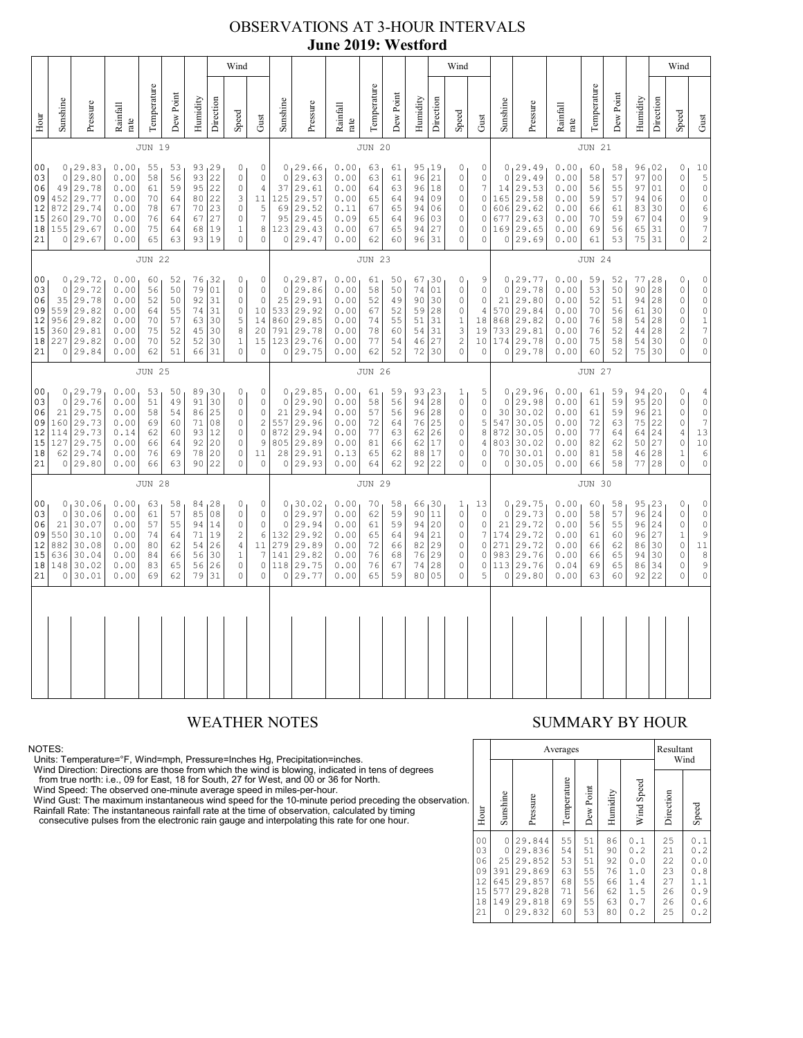# OBSERVATIONS AT 3-HOUR INTERVALS **June 2019: Westford**

|                                                          | Wind                                                                                                                                                                                                                                                                                                                                                                                                                                                                                                             |                                                                                       |                                                              |                                              |                                              |                                              |                                                                     |                                                                                                        |                                                                                    |                                                              |                                                                             |                                                              |                                                  |                                              |                                                                                                                    | Wind                                                   |                                                                                                        |                                                                         |                                                              |                                                                          |                                                              |                                                 |                                                    |                                                                          | Wind                                                                                                                               |                                                                                               |                                                                                                                                  |
|----------------------------------------------------------|------------------------------------------------------------------------------------------------------------------------------------------------------------------------------------------------------------------------------------------------------------------------------------------------------------------------------------------------------------------------------------------------------------------------------------------------------------------------------------------------------------------|---------------------------------------------------------------------------------------|--------------------------------------------------------------|----------------------------------------------|----------------------------------------------|----------------------------------------------|---------------------------------------------------------------------|--------------------------------------------------------------------------------------------------------|------------------------------------------------------------------------------------|--------------------------------------------------------------|-----------------------------------------------------------------------------|--------------------------------------------------------------|--------------------------------------------------|----------------------------------------------|--------------------------------------------------------------------------------------------------------------------|--------------------------------------------------------|--------------------------------------------------------------------------------------------------------|-------------------------------------------------------------------------|--------------------------------------------------------------|--------------------------------------------------------------------------|--------------------------------------------------------------|-------------------------------------------------|----------------------------------------------------|--------------------------------------------------------------------------|------------------------------------------------------------------------------------------------------------------------------------|-----------------------------------------------------------------------------------------------|----------------------------------------------------------------------------------------------------------------------------------|
| Hour                                                     | Sunshine                                                                                                                                                                                                                                                                                                                                                                                                                                                                                                         | Pressure                                                                              | Rainfall<br>rate                                             | Temperature                                  | Dew Point                                    | Humidity                                     | Direction                                                           | Speed                                                                                                  | Gust                                                                               | Sunshine                                                     | Pressure                                                                    | Rainfall<br>rate                                             | Temperature                                      | Dew Point                                    | Humidity                                                                                                           | Direction                                              | Speed                                                                                                  | Gust                                                                    | Sunshine                                                     | Pressure                                                                 | Rainfall<br>$_\mathrm{rate}$                                 | Temperature                                     | Dew Point                                          | Humidity                                                                 | Direction                                                                                                                          | Speed                                                                                         | Gust                                                                                                                             |
|                                                          |                                                                                                                                                                                                                                                                                                                                                                                                                                                                                                                  |                                                                                       |                                                              | JUN 19                                       |                                              |                                              |                                                                     |                                                                                                        |                                                                                    |                                                              |                                                                             |                                                              | <b>JUN 20</b>                                    |                                              |                                                                                                                    |                                                        |                                                                                                        |                                                                         |                                                              |                                                                          |                                                              | <b>JUN 21</b>                                   |                                                    |                                                                          |                                                                                                                                    |                                                                                               |                                                                                                                                  |
| 0 <sub>0</sub><br>03<br>06<br>09<br>12<br>15<br>18<br>21 | 0, 29.83<br>0.00<br>55<br>53<br>93, 29<br>0<br>29.80<br>93<br>22<br>$\circ$<br>$\circ$<br>0.00<br>58<br>56<br>22<br>29.78<br>0.00<br>59<br>95<br>49<br>$\mathbb O$<br>$\sqrt{4}$<br>61<br>22<br>452 29.77<br>3<br>0.00<br>70<br>80<br>64<br>23<br>$\mathbb O$<br>872<br>29.74<br>0.00<br>78<br>67<br>70<br>27<br>$260$ 29.70<br>0.00<br>76<br>64<br>67<br>$\mathbb O$<br>155 29.67<br>19<br>8<br>0.00<br>75<br>$\mathbf{1}$<br>64<br>68<br>0 29.67<br>0.00<br>63<br>93<br>19<br>$\mathbb O$<br>$\mathbb O$<br>65 |                                                                                       |                                                              |                                              |                                              |                                              | $\mathbb O$<br>$\mathbb O$<br>11<br>$\mathsf S$<br>$\boldsymbol{7}$ | $\Omega$<br>37<br>125<br>69<br>95<br>123<br>$\circ$                                                    | 0, 29.66<br>29.63<br>29.61<br>29.57<br>29.52<br>29.45<br>29.43<br>29.47            | 0.00<br>0.00<br>0.00<br>0.00<br>0.11<br>0.09<br>0.00<br>0.00 | 63<br>63<br>64<br>65<br>67<br>65<br>67<br>62                                | 61<br>61<br>63<br>64<br>65<br>64<br>65<br>60                 | 95, 19<br>96<br>96<br>94<br>94<br>96<br>94<br>96 | 21<br>18<br>09<br>06<br>03<br>27<br>31       | 0<br>$\mathbb O$<br>$\mathbb O$<br>$\mathbb O$<br>$\mathbb O$<br>$\mathbb O$<br>$\mathbb O$<br>$\mathsf{O}\xspace$ | 0<br>0<br>7<br>$\mathsf{O}\xspace$<br>0<br>0<br>0<br>0 | $\circ$<br>14<br>165<br>606<br>677<br>169<br>$\circ$                                                   | 0, 29.49<br>29.49<br>29.53<br>29.58<br>29.62<br>29.63<br>29.65<br>29.69 | 0.00<br>0.00<br>0.00<br>0.00<br>0.00<br>0.00<br>0.00<br>0.00 | 60<br>58<br>56<br>59<br>66<br>70<br>69<br>61                             | 58<br>57<br>55<br>57<br>61<br>59<br>56<br>53                 | 96,02<br>97<br>97<br>94<br>83<br>67<br>65<br>75 | 0 <sub>0</sub><br>01<br>06<br>30<br>04<br>31<br>31 | 0<br>$\mathbb O$<br>$\mathbb O$<br>$\circ$<br>0<br>0<br>0<br>$\mathbb O$ | 10<br>$\begin{array}{c} 5 \\ 0 \end{array}$<br>$\begin{array}{c} 0 \\ 6 \end{array}$<br>$\begin{array}{c} 9 \\ 7 \\ 2 \end{array}$ |                                                                                               |                                                                                                                                  |
|                                                          | <b>JUN 22</b>                                                                                                                                                                                                                                                                                                                                                                                                                                                                                                    |                                                                                       |                                                              |                                              |                                              |                                              |                                                                     |                                                                                                        | <b>JUN 23</b>                                                                      |                                                              |                                                                             |                                                              |                                                  |                                              |                                                                                                                    |                                                        |                                                                                                        | <b>JUN 24</b>                                                           |                                                              |                                                                          |                                                              |                                                 |                                                    |                                                                          |                                                                                                                                    |                                                                                               |                                                                                                                                  |
| 0 <sub>0</sub><br>03<br>06<br>09<br>12<br>15<br>18<br>21 | $\circ$<br>35<br>956                                                                                                                                                                                                                                                                                                                                                                                                                                                                                             | 0, 29.72<br>29.72<br>29.78<br>559 29.82<br>29.82<br>360 29.81<br>227 29.82<br>0 29.84 | 0.00<br>0.00<br>0.00<br>0.00<br>0.00<br>0.00<br>0.00<br>0.00 | 60<br>56<br>52<br>64<br>70<br>75<br>70<br>62 | 52<br>50<br>50<br>55<br>57<br>52<br>52<br>51 | 79<br>92<br>74<br>63<br>45<br>52<br>66       | 76 32<br>01<br>31<br>31<br>30<br>30<br>30<br>31                     | 0<br>$\circ$<br>$\circ$<br>0<br>5<br>8<br>$\,1\,$<br>$\circ$                                           | $\mathbb O$<br>$\mathbb O$<br>$\mathbb O$<br>$10$<br>14<br>20<br>15<br>$\mathbf 0$ | $\mathbf{0}$<br>25<br>533<br>860<br>791<br>0                 | 0, 29.87<br>29.86<br>29.91<br>29.92<br>29.85<br>29.78<br>123 29.76<br>29.75 | 0.00<br>0.00<br>0.00<br>0.00<br>0.00<br>0.00<br>0.00<br>0.00 | 61<br>58<br>52<br>67<br>74<br>78<br>77<br>62     | 50<br>50<br>49<br>52<br>55<br>60<br>54<br>52 | 67<br>74<br>90<br>59<br>51<br>54<br>46<br>72                                                                       | 130<br>01<br>30<br>28<br>31<br>31<br>27<br>30          | 0<br>$\mathbb O$<br>$\mathbb O$<br>0<br>$\,1\,$<br>$\mathsf 3$<br>$\sqrt{2}$<br>$\mathbf 0$            | 9<br>$\mathbb O$<br>$\mathbb O$<br>4<br>18<br>19<br>10<br>0             | 0<br>21<br>570<br>868<br>733<br>174<br>$\circ$               | 0, 29, 77<br>29.78<br>29.80<br>29.84<br>29.82<br>29.81<br>29.78<br>29.78 | 0.00<br>0.00<br>0.00<br>0.00<br>0.00<br>0.00<br>0.00<br>0.00 | 59<br>53<br>52<br>70<br>76<br>76<br>75<br>60    | 52<br>50<br>51<br>56<br>58<br>52<br>58<br>52       | 77, 28<br>90<br>94<br>61<br>54<br>44<br>54<br>75                         | 28<br>28<br>30<br>28<br>28<br>30<br>30                                                                                             | $\mathbb O$<br>$\circ$<br>$\mathbb O$<br>0<br>$\circ$<br>$\overline{c}$<br>$\mathbb O$<br>0   | $\mathbb O$<br>$\circ$<br>$\circ$<br>$\circ$<br>$\frac{1}{7}$<br>$\circ$<br>$\circ$                                              |
|                                                          | <b>JUN 25</b>                                                                                                                                                                                                                                                                                                                                                                                                                                                                                                    |                                                                                       |                                                              |                                              |                                              |                                              |                                                                     |                                                                                                        |                                                                                    |                                                              |                                                                             |                                                              | <b>JUN 26</b>                                    |                                              |                                                                                                                    |                                                        |                                                                                                        |                                                                         |                                                              |                                                                          |                                                              | <b>JUN 27</b>                                   |                                                    |                                                                          |                                                                                                                                    |                                                                                               |                                                                                                                                  |
| 00<br>03<br>06<br>09<br>12<br>15<br>18<br>21             | $\circ$<br>21<br>114<br>127                                                                                                                                                                                                                                                                                                                                                                                                                                                                                      | 0, 29.79<br>29.76<br>29.75<br>160 29.73<br>29.73<br>29.75<br>62 29.74<br>0 29.80      | 0.00<br>0.00<br>0.00<br>0.00<br>0.14<br>0.00<br>0.00<br>0.00 | 53<br>51<br>58<br>69<br>62<br>66<br>76<br>66 | 50<br>49<br>54<br>60<br>60<br>64<br>69<br>63 | 89<br>91<br>86<br>71<br>93<br>92<br>78<br>90 | 30<br>30<br>25<br>08<br>12<br>20<br>20<br>22                        | 0<br>$\mathbb O$<br>$\circ$<br>$\circ$<br>$\circ$<br>$\circ$<br>$\mathbb O$<br>$\Omega$                | 0<br>$\mathbb O$<br>$\mathbb O$<br>$\sqrt{2}$<br>$\mathbb O$<br>9<br>11<br>$\circ$ | $\mathbf 0$<br>21<br>557<br>872<br>805<br>0                  | 0, 29.85<br>29.90<br>29.94<br>29.96<br>29.94<br>29.89<br>28 29.91<br>29.93  | 0.00<br>0.00<br>0.00<br>0.00<br>0.00<br>0.00<br>0.13<br>0.00 | 61<br>58<br>57<br>72<br>77<br>81<br>65<br>64     | 59<br>56<br>56<br>64<br>63<br>66<br>62<br>62 | 93<br>94<br>96<br>76<br>62<br>62<br>88<br>92                                                                       | 123<br>28<br>28<br>25<br>26<br>17<br>17<br>22          | 1<br>$\mathbb O$<br>$\circ$<br>$\mathbb O$<br>$\circ$<br>$\circ$<br>$\mathbb O$<br>$\circ$             | 5<br>0<br>0<br>5<br>8<br>4<br>0<br>0                                    | $\circ$<br>30<br>547<br>872<br>803<br>70<br>$\circ$          | 0, 29.96<br>29.98<br>30.02<br>30.05<br>30.05<br>30.02<br>30.01<br>30.05  | 0.00<br>0.00<br>0.00<br>0.00<br>0.00<br>0.00<br>0.00<br>0.00 | 61<br>61<br>61<br>72<br>77<br>82<br>81<br>66    | 59<br>59<br>59<br>63<br>64<br>62<br>58<br>58       | 94<br>95 20<br>96<br>75<br>64<br>50<br>46<br>77                          | 120<br>21<br>22<br>24<br>27<br>28<br>28                                                                                            | 0<br>$\mathbb O$<br>0<br>$\circ$<br>4<br>$\mathbb O$<br>$\mathbf{1}$<br>$\Omega$              | $\begin{array}{c} 4 \\ 0 \end{array}$<br>$\circ$<br>$\overline{\phantom{a}}$<br>13<br>10<br>$\begin{matrix} 6 \\ 0 \end{matrix}$ |
|                                                          |                                                                                                                                                                                                                                                                                                                                                                                                                                                                                                                  |                                                                                       |                                                              | <b>JUN 28</b>                                |                                              |                                              |                                                                     |                                                                                                        |                                                                                    |                                                              |                                                                             |                                                              | <b>JUN 29</b>                                    |                                              |                                                                                                                    |                                                        |                                                                                                        |                                                                         |                                                              |                                                                          |                                                              | <b>JUN 30</b>                                   |                                                    |                                                                          |                                                                                                                                    |                                                                                               |                                                                                                                                  |
| 00<br>03<br>06<br>09<br>12<br>15<br>21                   | $\circ$<br>21<br>550<br>882<br>636                                                                                                                                                                                                                                                                                                                                                                                                                                                                               | 0, 30.06<br>30.06<br>30.07<br>30.10<br>30.08<br>30.04<br>18   148   30.02<br>0 30.01  | 0.00<br>0.00<br>0.00<br>0.00<br>0.00<br>0.00<br>0.00<br>0.00 | 63<br>61<br>57<br>74<br>80<br>84<br>83<br>69 | 58<br>57<br>55<br>64<br>62<br>66<br>65<br>62 | 85<br>94<br>71<br>54<br>56<br>56<br>79       | 84 28<br>08<br>14<br>19<br>26<br>30<br>26<br>31                     | 0<br>$\mathbf{0}$<br>$\mathbb O$<br>$\overline{c}$<br>$\sqrt{4}$<br>$\,1\,$<br>$\mathbb O$<br>$\Omega$ | 0<br>$\mathbb O$<br>$\mathbb O$<br>6<br>11<br>$\boldsymbol{7}$<br>$\mathbb O$      | $\circ$<br>$\circ$<br>132<br>279<br>141<br>0 118<br>0        | 0, 30.02<br>29.97<br>29.94<br>29.92<br>29.89<br>29.82<br>29.75<br>29.77     | 0.00<br>0.00<br>0.00<br>0.00<br>0.00<br>0.00<br>0.00<br>0.00 | 70<br>62<br>61<br>65<br>72<br>76<br>76<br>65     | 58<br>59<br>59<br>64<br>66<br>68<br>67<br>59 | 66,30<br>90<br>94<br>94<br>82<br>76<br>74<br>80                                                                    | 11<br>20<br>21<br>29<br>29<br>28<br>05                 | 1<br>$\mathbf 0$<br>$\mathbb O$<br>$\circ$<br>$\mathbb O$<br>$\mathbb O$<br>$\mathbb O$<br>$\mathbb O$ | 13<br>0<br>0<br>7<br>0<br>0<br>$\circ$<br>5                             | $\circ$<br>21<br>174<br>271<br>983<br>113<br>0               | 0, 29.75<br>29.73<br>29.72<br>29.72<br>29.72<br>29.76<br>29.76<br>29.80  | 0.00<br>0.00<br>0.00<br>0.00<br>0.00<br>0.00<br>0.04<br>0.00 | 60<br>58<br>56<br>61<br>66<br>66<br>69<br>63    | 58<br>57<br>55<br>60<br>62<br>65<br>65<br>60       | 95<br>96<br>96 24<br>96<br>86<br>94<br>86<br>92                          | 123<br>24<br>27<br>30<br>30<br>34<br>22                                                                                            | 0<br>$\mathsf O$<br>$\mathsf O$<br>$\mathbf 1$<br>$\mathbb O$<br>0<br>$\mathbb O$<br>$\Omega$ | $\circ$<br>$\circ$<br>$\mathbb O$<br>$\overline{9}$<br>$11\,$<br>8<br>$\begin{array}{c} 9 \\ 0 \end{array}$                      |
|                                                          |                                                                                                                                                                                                                                                                                                                                                                                                                                                                                                                  |                                                                                       |                                                              |                                              |                                              |                                              |                                                                     |                                                                                                        |                                                                                    |                                                              |                                                                             |                                                              |                                                  |                                              |                                                                                                                    |                                                        |                                                                                                        |                                                                         |                                                              |                                                                          |                                                              |                                                 |                                                    |                                                                          |                                                                                                                                    |                                                                                               |                                                                                                                                  |

NOTES:<br>Units: Temperature=°F, Wind=mph, Pressure=Inches Hg, Precipitation=inches.<br>Units: Temperature=°F, Wind=mph, Pressure=Inches Hg, Precipitation=inches.<br>
Yind Direction: Directions are those from which the wind is blow

### WEATHER NOTES SUMMARY BY HOUR

|    |                                                          |                                               |                                                                              | Averages                                     |                                              |                                              | Resultant                                            | Wind                                         |                                                                                           |
|----|----------------------------------------------------------|-----------------------------------------------|------------------------------------------------------------------------------|----------------------------------------------|----------------------------------------------|----------------------------------------------|------------------------------------------------------|----------------------------------------------|-------------------------------------------------------------------------------------------|
| n. | Hour                                                     | Sunshine                                      | Pressure                                                                     | Temperature                                  | Dew Point                                    | Humidity                                     | Wind Speed                                           | Direction                                    | Speed                                                                                     |
|    | 0 <sub>0</sub><br>03<br>06<br>09<br>12<br>15<br>18<br>21 | 0<br>0<br>25<br>391<br>645<br>577<br>149<br>0 | 29.844<br>29.836<br>29.852<br>29.869<br>29.857<br>29.828<br>29.818<br>29.832 | 55<br>54<br>53<br>63<br>68<br>71<br>69<br>60 | 51<br>51<br>51<br>55<br>55<br>56<br>55<br>53 | 86<br>90<br>92<br>76<br>66<br>62<br>63<br>80 | 0.1<br>0.2<br>0.0<br>1.0<br>1.4<br>1.5<br>0.7<br>0.2 | 25<br>21<br>22<br>23<br>27<br>26<br>26<br>25 | $\cdot$ 1<br>0<br>0.2<br>$\cdot$ 0<br>0<br>.8<br>0<br>1.1<br>0.9<br>0.6<br>$\cdot$ 2<br>0 |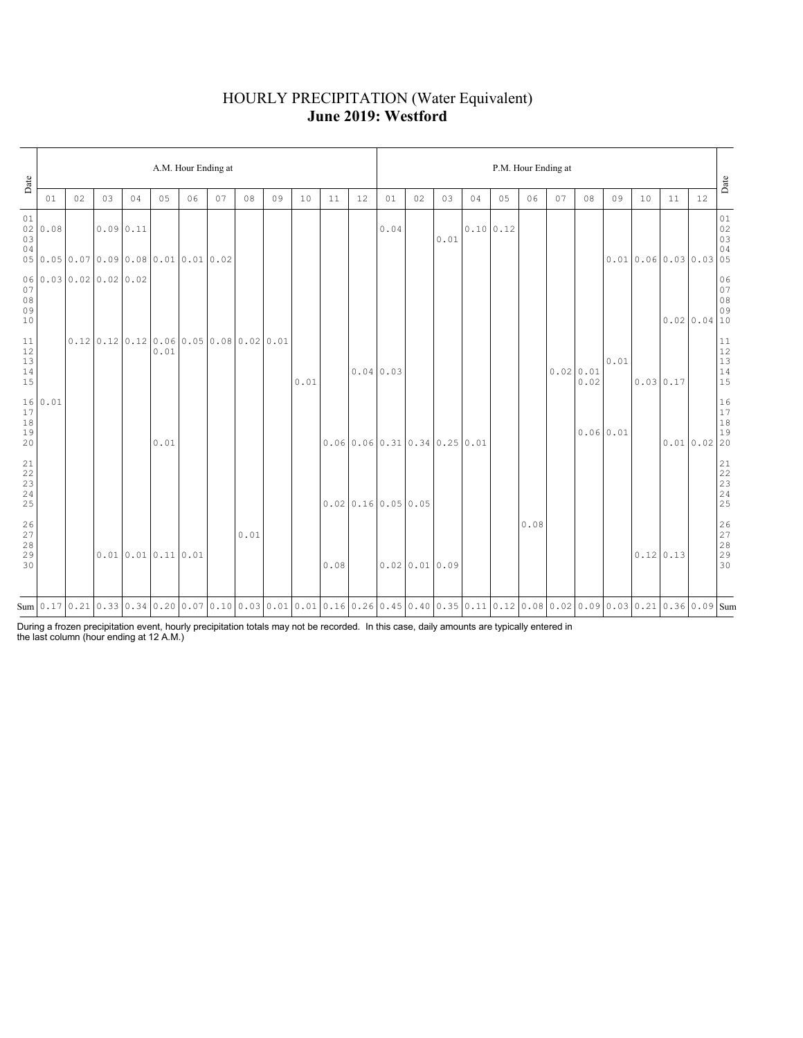### HOURLY PRECIPITATION (Water Equivalent) **June 2019: Westford**

| Date                                                      |                        | A.M. Hour Ending at |          |    |                  |                                                                              |                                                                                                                                           |      |    |      |      |    |                       |                                 |      | P.M. Hour Ending at |           |      |    |                   |      |                    |    |             |                                                           |  |  |
|-----------------------------------------------------------|------------------------|---------------------|----------|----|------------------|------------------------------------------------------------------------------|-------------------------------------------------------------------------------------------------------------------------------------------|------|----|------|------|----|-----------------------|---------------------------------|------|---------------------|-----------|------|----|-------------------|------|--------------------|----|-------------|-----------------------------------------------------------|--|--|
|                                                           | 01                     | 02                  | 03       | 04 | 05               | 06                                                                           | 07                                                                                                                                        | 08   | 09 | 10   | 11   | 12 | 01                    | 02                              | 03   | 04                  | 05        | 06   | 07 | 08                | 09   | 10                 | 11 | 12          | Date                                                      |  |  |
| 01<br>02<br>03<br>04                                      | 0.08                   |                     | 0.090.11 |    |                  | $0.05 \mid 0.05 \mid 0.07 \mid 0.09 \mid 0.08 \mid 0.01 \mid 0.01 \mid 0.02$ |                                                                                                                                           |      |    |      |      |    | 0.04                  |                                 | 0.01 |                     | 0.10 0.12 |      |    |                   |      | 0.010.060.030.0305 |    |             | $0\,1$<br>$02$<br>$03$<br>$04$                            |  |  |
| 07<br>08<br>09<br>10                                      | 06 0.03 0.02 0.02 0.02 |                     |          |    |                  |                                                                              |                                                                                                                                           |      |    |      |      |    |                       |                                 |      |                     |           |      |    |                   |      |                    |    | 0.0200.0410 | $\begin{array}{c} 06 \\ 07 \end{array}$<br>$08$<br>09     |  |  |
| 11<br>12<br>$13$<br>$14$<br>15                            |                        |                     |          |    | 0.01             |                                                                              | $0.12$   $0.12$   $0.12$   $0.06$   $0.05$   $0.08$   $0.02$   $0.01$                                                                     |      |    | 0.01 |      |    | 0.04 0.03             |                                 |      |                     |           |      |    | 0.0200.01<br>0.02 | 0.01 | 0.030117           |    |             | $\begin{array}{c} 11 \\ 12 \\ 13 \\ 14 \\ 15 \end{array}$ |  |  |
| 17<br>$1\,8$<br>19<br>20                                  | 16 0.01                |                     |          |    | 0.01             |                                                                              |                                                                                                                                           |      |    |      |      |    |                       | $0.06$ 0.06 0.31 0.34 0.25 0.01 |      |                     |           |      |    | 0.06 0.01         |      |                    |    | 0.010.0220  | 16<br>17<br>18<br>19                                      |  |  |
| $\begin{array}{l} 21 \\ 22 \\ 23 \\ 24 \end{array}$<br>25 |                        |                     |          |    |                  |                                                                              |                                                                                                                                           |      |    |      |      |    | $0.02$ 0.16 0.05 0.05 |                                 |      |                     |           |      |    |                   |      |                    |    |             |                                                           |  |  |
| $\frac{26}{27}$<br>28<br>29<br>30                         |                        |                     |          |    | 0.010.010.110.01 |                                                                              |                                                                                                                                           | 0.01 |    |      | 0.08 |    |                       | 0.0200.010.09                   |      |                     |           | 0.08 |    |                   |      | $0.12$ 0.13        |    |             | 26<br>27<br>28<br>29<br>29<br>30                          |  |  |
|                                                           |                        |                     |          |    |                  |                                                                              | Sum 0.17 0.21 0.33 0.34 0.20 0.07 0.10 0.03 0.01 0.01 0.10 0.10 0.26 0.45 0.40 0.35 0.11 0.12 0.08 0.02 0.09 0.03 0.03 0.21 0.36 0.09 Sum |      |    |      |      |    |                       |                                 |      |                     |           |      |    |                   |      |                    |    |             |                                                           |  |  |

During a frozen precipitation event, hourly precipitation totals may not be recorded. In this case, daily amounts are typically entered in the last column (hour ending at 12 A.M.)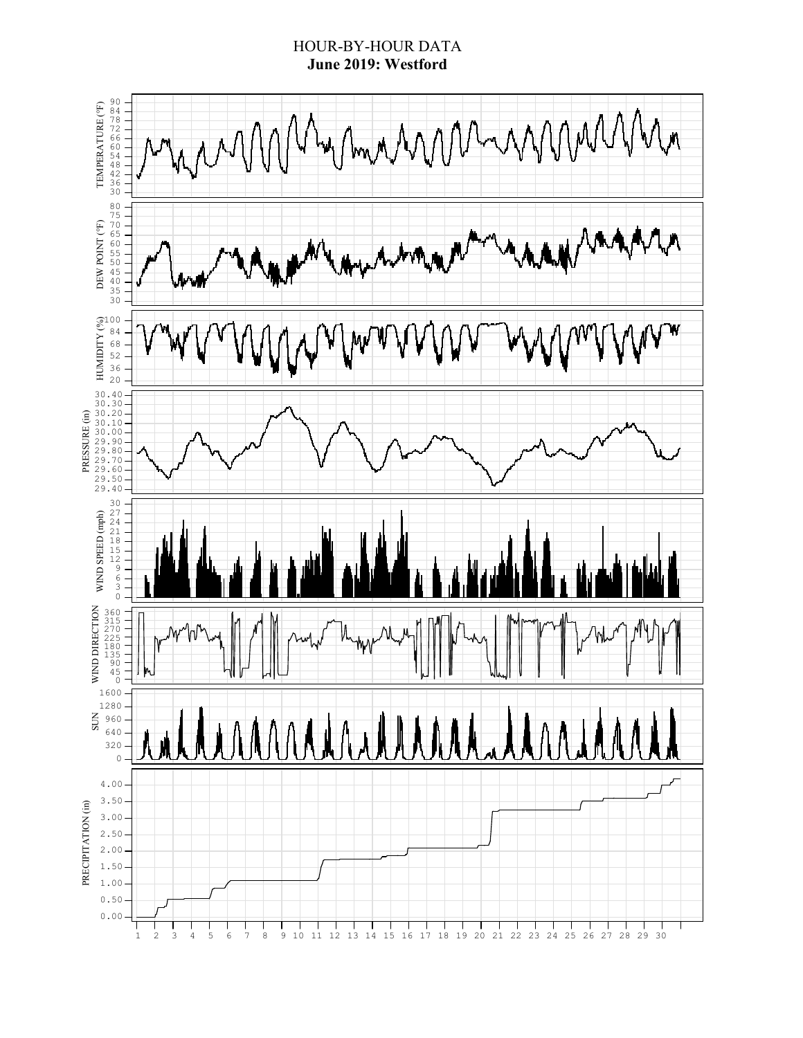### HOUR-BY-HOUR DATA **June 2019: Westford**